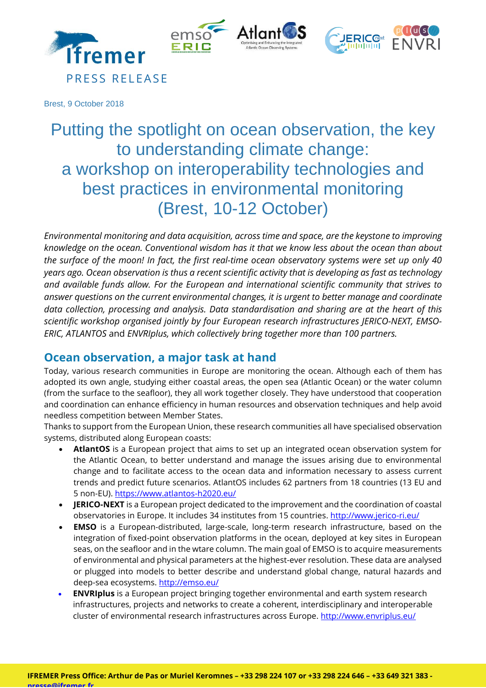

Brest, 9 October 2018

PRESS RELEASE

# Putting the spotlight on ocean observation, the key to understanding climate change: a workshop on interoperability technologies and best practices in environmental monitoring (Brest, 10-12 October)

*Environmental monitoring and data acquisition, across time and space, are the keystone to improving knowledge on the ocean. Conventional wisdom has it that we know less about the ocean than about the surface of the moon! In fact, the first real-time ocean observatory systems were set up only 40 years ago. Ocean observation is thus a recent scientific activity that is developing as fast as technology and available funds allow. For the European and international scientific community that strives to answer questions on the current environmental changes, it is urgent to better manage and coordinate data collection, processing and analysis. Data standardisation and sharing are at the heart of this scientific workshop organised jointly by four European research infrastructures JERICO-NEXT, EMSO-ERIC, ATLANTOS* and *ENVRIplus, which collectively bring together more than 100 partners.*

#### **Ocean observation, a major task at hand**

Today, various research communities in Europe are monitoring the ocean. Although each of them has adopted its own angle, studying either coastal areas, the open sea (Atlantic Ocean) or the water column (from the surface to the seafloor), they all work together closely. They have understood that cooperation and coordination can enhance efficiency in human resources and observation techniques and help avoid needless competition between Member States.

Thanks to support from the European Union, these research communities all have specialised observation systems, distributed along European coasts:

- **AtlantOS** is a European project that aims to set up an integrated ocean observation system for the Atlantic Ocean, to better understand and manage the issues arising due to environmental change and to facilitate access to the ocean data and information necessary to assess current trends and predict future scenarios. AtlantOS includes 62 partners from 18 countries (13 EU and 5 non-EU).<https://www.atlantos-h2020.eu/>
- **JERICO-NEXT** is a European project dedicated to the improvement and the coordination of coastal observatories in Europe. It includes 34 institutes from 15 countries. <http://www.jerico-ri.eu/>
- **EMSO** is a European-distributed, large-scale, long-term research infrastructure, based on the integration of fixed-point observation platforms in the ocean, deployed at key sites in European seas, on the seafloor and in the wtare column. The main goal of EMSO is to acquire measurements of environmental and physical parameters at the highest-ever resolution. These data are analysed or plugged into models to better describe and understand global change, natural hazards and deep-sea ecosystems[. http://emso.eu/](http://emso.eu/)
- **ENVRIplus** is a European project bringing together environmental and earth system research infrastructures, projects and networks to create a coherent, interdisciplinary and interoperable cluster of environmental research infrastructures across Europe[. http://www.envriplus.eu/](http://www.envriplus.eu/)